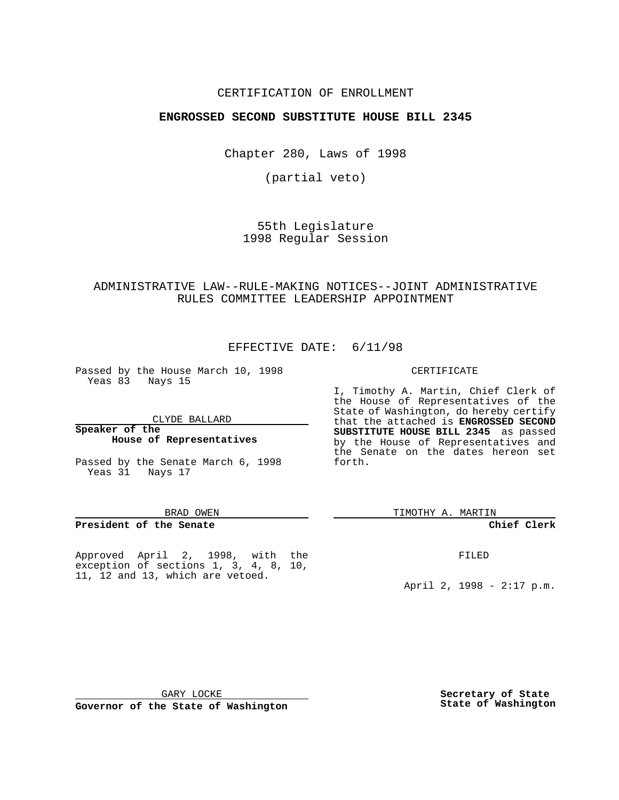#### CERTIFICATION OF ENROLLMENT

## **ENGROSSED SECOND SUBSTITUTE HOUSE BILL 2345**

Chapter 280, Laws of 1998

(partial veto)

55th Legislature 1998 Regular Session

## ADMINISTRATIVE LAW--RULE-MAKING NOTICES--JOINT ADMINISTRATIVE RULES COMMITTEE LEADERSHIP APPOINTMENT

## EFFECTIVE DATE: 6/11/98

Passed by the House March 10, 1998 Yeas 83 Nays 15

CLYDE BALLARD

**Speaker of the House of Representatives**

Passed by the Senate March 6, 1998 Yeas 31 Nays 17

#### BRAD OWEN

#### **President of the Senate**

Approved April 2, 1998, with the exception of sections 1, 3, 4, 8, 10, 11, 12 and 13, which are vetoed.

#### CERTIFICATE

I, Timothy A. Martin, Chief Clerk of the House of Representatives of the State of Washington, do hereby certify that the attached is **ENGROSSED SECOND SUBSTITUTE HOUSE BILL 2345** as passed by the House of Representatives and the Senate on the dates hereon set forth.

TIMOTHY A. MARTIN

#### **Chief Clerk**

FILED

April 2, 1998 - 2:17 p.m.

GARY LOCKE

**Governor of the State of Washington**

**Secretary of State State of Washington**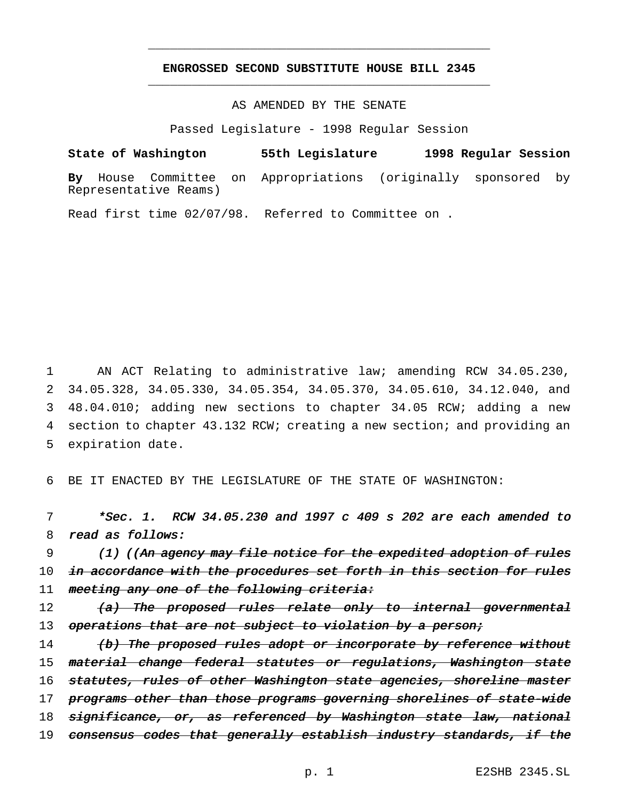# **ENGROSSED SECOND SUBSTITUTE HOUSE BILL 2345** \_\_\_\_\_\_\_\_\_\_\_\_\_\_\_\_\_\_\_\_\_\_\_\_\_\_\_\_\_\_\_\_\_\_\_\_\_\_\_\_\_\_\_\_\_\_\_

\_\_\_\_\_\_\_\_\_\_\_\_\_\_\_\_\_\_\_\_\_\_\_\_\_\_\_\_\_\_\_\_\_\_\_\_\_\_\_\_\_\_\_\_\_\_\_

# AS AMENDED BY THE SENATE

Passed Legislature - 1998 Regular Session

**State of Washington 55th Legislature 1998 Regular Session By** House Committee on Appropriations (originally sponsored by Representative Reams)

Read first time 02/07/98. Referred to Committee on .

 AN ACT Relating to administrative law; amending RCW 34.05.230, 34.05.328, 34.05.330, 34.05.354, 34.05.370, 34.05.610, 34.12.040, and 48.04.010; adding new sections to chapter 34.05 RCW; adding a new section to chapter 43.132 RCW; creating a new section; and providing an expiration date.

6 BE IT ENACTED BY THE LEGISLATURE OF THE STATE OF WASHINGTON:

7 \*Sec. 1. RCW 34.05.230 and <sup>1997</sup> <sup>c</sup> <sup>409</sup> <sup>s</sup> <sup>202</sup> are each amended to 8 read as follows:

9 (1) ((An agency may file notice for the expedited adoption of rules 10 in accordance with the procedures set forth in this section for rules 11 meeting any one of the following criteria:

12 (a) The proposed rules relate only to internal governmental 13 operations that are not subject to violation by a person;

14 (b) The proposed rules adopt or incorporate by reference without 15 material change federal statutes or regulations, Washington state 16 statutes, rules of other Washington state agencies, shoreline master 17 programs other than those programs governing shorelines of state-wide 18 significance, or, as referenced by Washington state law, national 19 consensus codes that generally establish industry standards, if the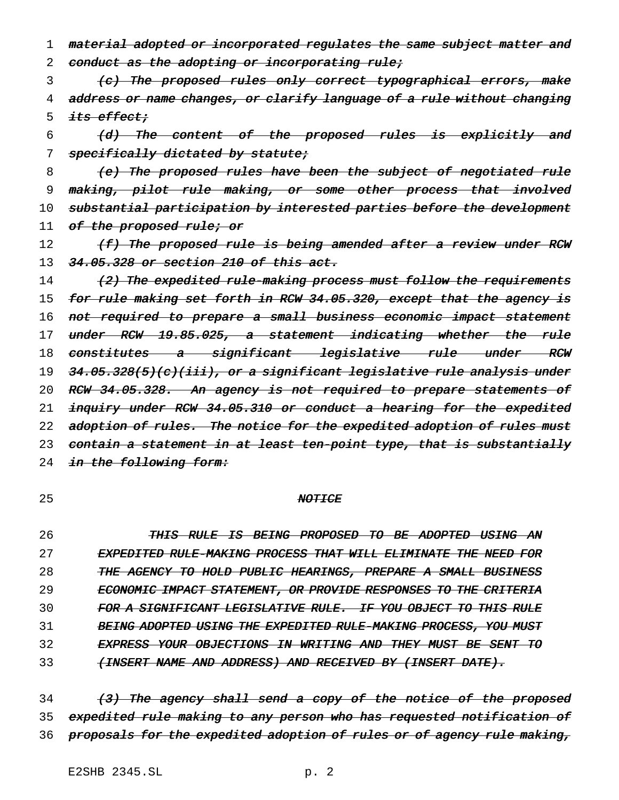1 material adopted or incorporated regulates the same subject matter and 2 conduct as the adopting or incorporating rule;

3 (c) The proposed rules only correct typographical errors, make 4 address or name changes, or clarify language of a rule without changing 5 its effect;

6 (d) The content of the proposed rules is explicitly and 7 specifically dictated by statute;

8 (e) The proposed rules have been the subject of negotiated rule 9 making, pilot rule making, or some other process that involved 10 substantial participation by interested parties before the development 11 of the proposed rule; or

12 (f) The proposed rule is being amended after a review under RCW 13 34.05.328 or section 210 of this act.

14 (2) The expedited rule-making process must follow the requirements 15 for rule making set forth in RCW 34.05.320, except that the agency is 16 not required to prepare a small business economic impact statement 17 under RCW 19.85.025, a statement indicating whether the rule 18 <del>constitutes a significant legislative rule under RCW</del> 19 34.05.328(5)(c)(iii), or a significant legislative rule analysis under 20 RCW 34.05.328. An agency is not required to prepare statements of 21 inquiry under RCW 34.05.310 or conduct a hearing for the expedited 22 adoption of rules. The notice for the expedited adoption of rules must 23 contain a statement in at least ten-point type, that is substantially 24 in the following form:

# 25 NOTICE

26 THIS RULE IS BEING PROPOSED TO BE ADOPTED USING AN 27 **EXPEDITED RULE-MAKING PROCESS THAT WILL ELIMINATE THE NEED FOR** 28 THE AGENCY TO HOLD PUBLIC HEARINGS, PREPARE A SMALL BUSINESS 29 ECONOMIC IMPACT STATEMENT, OR PROVIDE RESPONSES TO THE CRITERIA 30 FOR A SIGNIFICANT LEGISLATIVE RULE. IF YOU OBJECT TO THIS RULE 31 BEING ADOPTED USING THE EXPEDITED RULE-MAKING PROCESS, YOU MUST 32 EXPRESS YOUR OBJECTIONS IN WRITING AND THEY MUST BE SENT TO 33 (INSERT NAME AND ADDRESS) AND RECEIVED BY (INSERT DATE).

34 (3) The agency shall send a copy of the notice of the proposed 35 expedited rule making to any person who has requested notification of 36 proposals for the expedited adoption of rules or of agency rule making,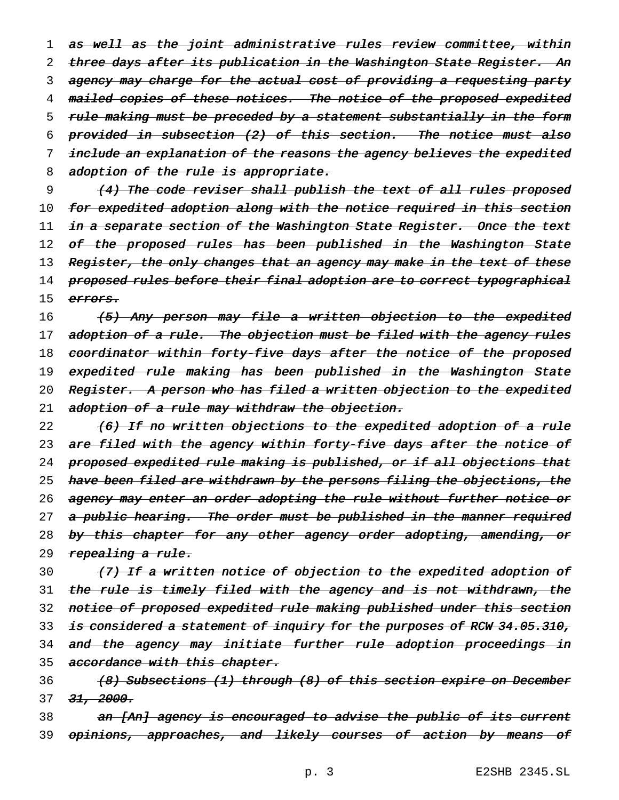1 as well as the joint administrative rules review committee, within 2 three days after its publication in the Washington State Register. An 3 agency may charge for the actual cost of providing a requesting party 4 mailed copies of these notices. The notice of the proposed expedited 5 rule making must be preceded by a statement substantially in the form 6 provided in subsection (2) of this section. The notice must also 7 include an explanation of the reasons the agency believes the expedited 8 adoption of the rule is appropriate.

9 (4) The code reviser shall publish the text of all rules proposed 10 for expedited adoption along with the notice required in this section 11 in a separate section of the Washington State Register. Once the text 12 of the proposed rules has been published in the Washington State 13 Register, the only changes that an agency may make in the text of these 14 proposed rules before their final adoption are to correct typographical 15 errors.

16 (5) Any person may file a written objection to the expedited 17 adoption of a rule. The objection must be filed with the agency rules 18 coordinator within forty-five days after the notice of the proposed 19 expedited rule making has been published in the Washington State 20 Register. A person who has filed a written objection to the expedited 21 adoption of a rule may withdraw the objection.

22 (6) If no written objections to the expedited adoption of a rule 23 are filed with the agency within forty-five days after the notice of 24 proposed expedited rule making is published, or if all objections that 25 have been filed are withdrawn by the persons filing the objections, the 26 agency may enter an order adopting the rule without further notice or 27 a public hearing. The order must be published in the manner required 28 by this chapter for any other agency order adopting, amending, or 29 repealing a rule.

30 (7) If a written notice of objection to the expedited adoption of 31 the rule is timely filed with the agency and is not withdrawn, the 32 notice of proposed expedited rule making published under this section 33 is considered a statement of inquiry for the purposes of RCW 34.05.310, 34 and the agency may initiate further rule adoption proceedings in 35 accordance with this chapter.

36 (8) Subsections (1) through (8) of this section expire on December 37 31, 2000.

38 an [An] agency is encouraged to advise the public of its current 39 <del>opinions, approaches, and likely courses of action by means of</del>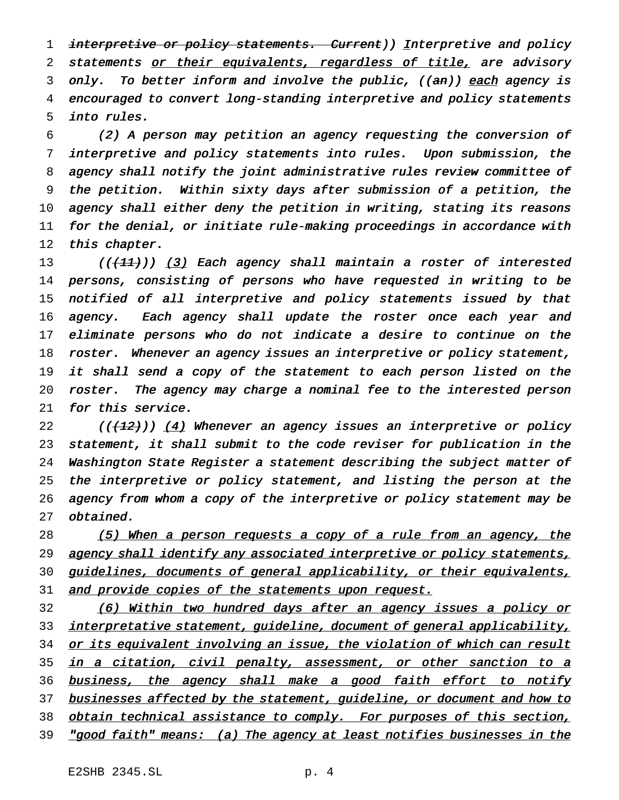1 interpretive or policy statements. Current)) Interpretive and policy 2 statements or their equivalents, regardless of title, are advisory 3 only. To better inform and involve the public, ((an)) each agency is 4 encouraged to convert long-standing interpretive and policy statements 5 into rules.

 (2) <sup>A</sup> person may petition an agency requesting the conversion of interpretive and policy statements into rules. Upon submission, the agency shall notify the joint administrative rules review committee of the petition. Within sixty days after submission of <sup>a</sup> petition, the agency shall either deny the petition in writing, stating its reasons for the denial, or initiate rule-making proceedings in accordance with 12 this chapter.

13 ( $((+11)$ ) (3) Each agency shall maintain a roster of interested 14 persons, consisting of persons who have requested in writing to be 15 notified of all interpretive and policy statements issued by that 16 agency. Each agency shall update the roster once each year and 17 eliminate persons who do not indicate <sup>a</sup> desire to continue on the 18 roster. Whenever an agency issues an interpretive or policy statement, 19 it shall send a copy of the statement to each person listed on the 20 roster. The agency may charge <sup>a</sup> nominal fee to the interested person 21 for this service.

22 (( $(12)$ )) (4) Whenever an agency issues an interpretive or policy statement, it shall submit to the code reviser for publication in the Washington State Register <sup>a</sup> statement describing the subject matter of the interpretive or policy statement, and listing the person at the agency from whom <sup>a</sup> copy of the interpretive or policy statement may be obtained.

28 (5) When a person requests a copy of a rule from an agency, the 29 agency shall identify any associated interpretive or policy statements, 30 guidelines, documents of general applicability, or their equivalents, 31 and provide copies of the statements upon request.

32 (6) Within two hundred days after an agency issues <sup>a</sup> policy or 33 interpretative statement, guideline, document of general applicability, 34 or its equivalent involving an issue, the violation of which can result 35 in a citation, civil penalty, assessment, or other sanction to a 36 business, the agency shall make a good faith effort to notify 37 businesses affected by the statement, guideline, or document and how to 38 obtain technical assistance to comply. For purposes of this section, 39 "good faith" means: (a) The agency at least notifies businesses in the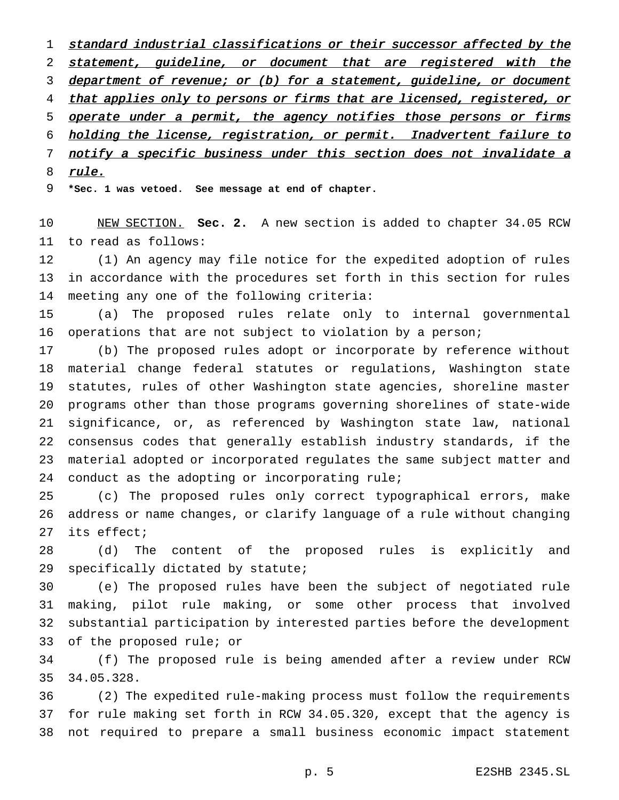1 standard industrial classifications or their successor affected by the 2 statement, guideline, or document that are registered with the 3 department of revenue; or (b) for a statement, guideline, or document 4 that applies only to persons or firms that are licensed, registered, or 5 operate under a permit, the agency notifies those persons or firms holding the license, registration, or permit. Inadvertent failure to 7 notify a specific business under this section does not invalidate a *rule.* 

**\*Sec. 1 was vetoed. See message at end of chapter.**

 NEW SECTION. **Sec. 2.** A new section is added to chapter 34.05 RCW to read as follows:

 (1) An agency may file notice for the expedited adoption of rules in accordance with the procedures set forth in this section for rules meeting any one of the following criteria:

 (a) The proposed rules relate only to internal governmental operations that are not subject to violation by a person;

 (b) The proposed rules adopt or incorporate by reference without material change federal statutes or regulations, Washington state statutes, rules of other Washington state agencies, shoreline master programs other than those programs governing shorelines of state-wide significance, or, as referenced by Washington state law, national consensus codes that generally establish industry standards, if the material adopted or incorporated regulates the same subject matter and conduct as the adopting or incorporating rule;

 (c) The proposed rules only correct typographical errors, make address or name changes, or clarify language of a rule without changing its effect;

 (d) The content of the proposed rules is explicitly and specifically dictated by statute;

 (e) The proposed rules have been the subject of negotiated rule making, pilot rule making, or some other process that involved substantial participation by interested parties before the development of the proposed rule; or

 (f) The proposed rule is being amended after a review under RCW 34.05.328.

 (2) The expedited rule-making process must follow the requirements for rule making set forth in RCW 34.05.320, except that the agency is not required to prepare a small business economic impact statement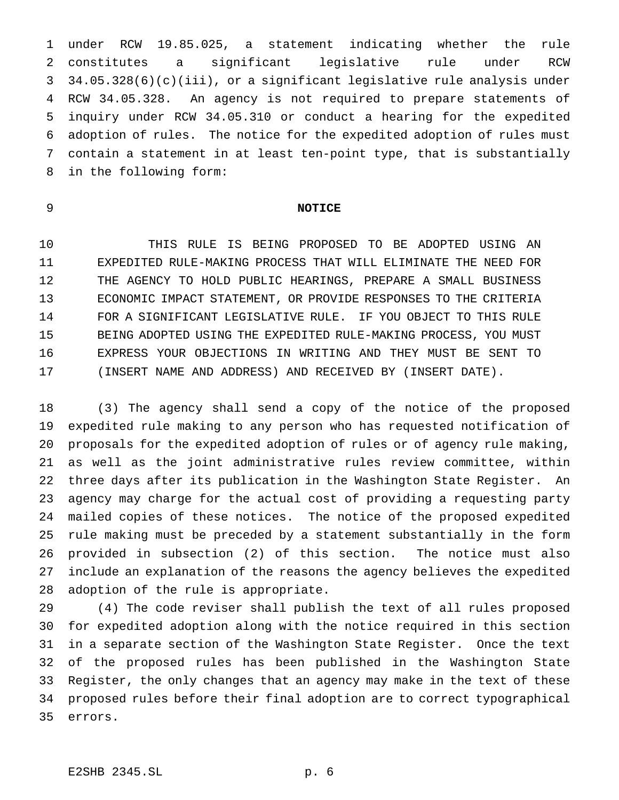under RCW 19.85.025, a statement indicating whether the rule constitutes a significant legislative rule under RCW 34.05.328(6)(c)(iii), or a significant legislative rule analysis under RCW 34.05.328. An agency is not required to prepare statements of inquiry under RCW 34.05.310 or conduct a hearing for the expedited adoption of rules. The notice for the expedited adoption of rules must contain a statement in at least ten-point type, that is substantially in the following form:

## **NOTICE**

 THIS RULE IS BEING PROPOSED TO BE ADOPTED USING AN EXPEDITED RULE-MAKING PROCESS THAT WILL ELIMINATE THE NEED FOR THE AGENCY TO HOLD PUBLIC HEARINGS, PREPARE A SMALL BUSINESS ECONOMIC IMPACT STATEMENT, OR PROVIDE RESPONSES TO THE CRITERIA FOR A SIGNIFICANT LEGISLATIVE RULE. IF YOU OBJECT TO THIS RULE BEING ADOPTED USING THE EXPEDITED RULE-MAKING PROCESS, YOU MUST EXPRESS YOUR OBJECTIONS IN WRITING AND THEY MUST BE SENT TO (INSERT NAME AND ADDRESS) AND RECEIVED BY (INSERT DATE).

 (3) The agency shall send a copy of the notice of the proposed expedited rule making to any person who has requested notification of proposals for the expedited adoption of rules or of agency rule making, as well as the joint administrative rules review committee, within three days after its publication in the Washington State Register. An agency may charge for the actual cost of providing a requesting party mailed copies of these notices. The notice of the proposed expedited rule making must be preceded by a statement substantially in the form provided in subsection (2) of this section. The notice must also include an explanation of the reasons the agency believes the expedited adoption of the rule is appropriate.

 (4) The code reviser shall publish the text of all rules proposed for expedited adoption along with the notice required in this section in a separate section of the Washington State Register. Once the text of the proposed rules has been published in the Washington State Register, the only changes that an agency may make in the text of these proposed rules before their final adoption are to correct typographical errors.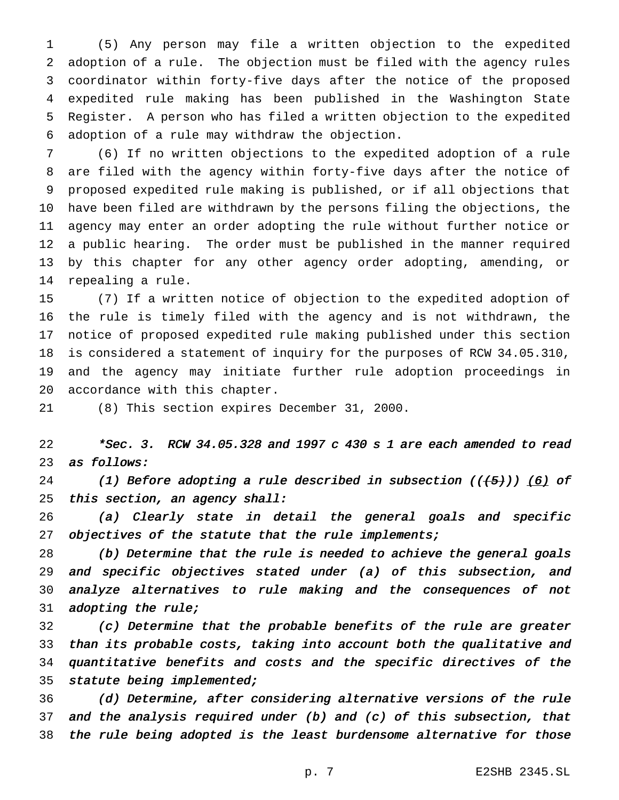(5) Any person may file a written objection to the expedited adoption of a rule. The objection must be filed with the agency rules coordinator within forty-five days after the notice of the proposed expedited rule making has been published in the Washington State Register. A person who has filed a written objection to the expedited adoption of a rule may withdraw the objection.

 (6) If no written objections to the expedited adoption of a rule are filed with the agency within forty-five days after the notice of proposed expedited rule making is published, or if all objections that have been filed are withdrawn by the persons filing the objections, the agency may enter an order adopting the rule without further notice or a public hearing. The order must be published in the manner required by this chapter for any other agency order adopting, amending, or repealing a rule.

 (7) If a written notice of objection to the expedited adoption of the rule is timely filed with the agency and is not withdrawn, the notice of proposed expedited rule making published under this section is considered a statement of inquiry for the purposes of RCW 34.05.310, and the agency may initiate further rule adoption proceedings in accordance with this chapter.

(8) This section expires December 31, 2000.

 \*Sec. 3. RCW 34.05.328 and <sup>1997</sup> <sup>c</sup> <sup>430</sup> <sup>s</sup> <sup>1</sup> are each amended to read as follows:

24 (1) Before adopting a rule described in subsection  $((+5)$ ) (6) of this section, an agency shall:

 (a) Clearly state in detail the general goals and specific 27 objectives of the statute that the rule implements;

 (b) Determine that the rule is needed to achieve the general goals and specific objectives stated under (a) of this subsection, and analyze alternatives to rule making and the consequences of not adopting the rule;

 (c) Determine that the probable benefits of the rule are greater than its probable costs, taking into account both the qualitative and quantitative benefits and costs and the specific directives of the 35 statute being implemented;

 (d) Determine, after considering alternative versions of the rule and the analysis required under (b) and (c) of this subsection, that the rule being adopted is the least burdensome alternative for those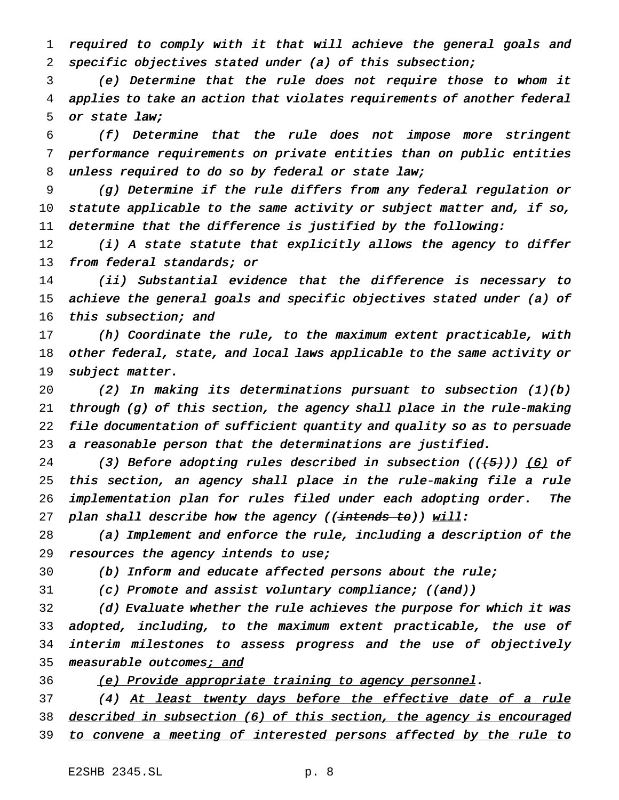required to comply with it that will achieve the general goals and specific objectives stated under (a) of this subsection;

 (e) Determine that the rule does not require those to whom it applies to take an action that violates requirements of another federal or state law;

 (f) Determine that the rule does not impose more stringent performance requirements on private entities than on public entities 8 unless required to do so by federal or state law;

 (g) Determine if the rule differs from any federal regulation or statute applicable to the same activity or subject matter and, if so, determine that the difference is justified by the following:

12 (i) A state statute that explicitly allows the agency to differ 13 from federal standards; or

 (ii) Substantial evidence that the difference is necessary to achieve the general goals and specific objectives stated under (a) of 16 this subsection; and

 (h) Coordinate the rule, to the maximum extent practicable, with other federal, state, and local laws applicable to the same activity or 19 subject matter.

 (2) In making its determinations pursuant to subsection (1)(b) through (g) of this section, the agency shall place in the rule-making file documentation of sufficient quantity and quality so as to persuade <sup>a</sup> reasonable person that the determinations are justified.

24 (3) Before adopting rules described in subsection  $((+5))$  (6) of this section, an agency shall place in the rule-making file <sup>a</sup> rule implementation plan for rules filed under each adopting order. The 27 plan shall describe how the agency ( $(i$ ntends to)) will:

 (a) Implement and enforce the rule, including <sup>a</sup> description of the 29 resources the agency intends to use;

(b) Inform and educate affected persons about the rule;

(c) Promote and assist voluntary compliance; ((and))

 (d) Evaluate whether the rule achieves the purpose for which it was adopted, including, to the maximum extent practicable, the use of interim milestones to assess progress and the use of objectively 35 measurable outcomes; and

36 (e) Provide appropriate training to agency personnel.

37 (4) At least twenty days before the effective date of a rule 38 described in subsection (6) of this section, the agency is encouraged 39 to convene a meeting of interested persons affected by the rule to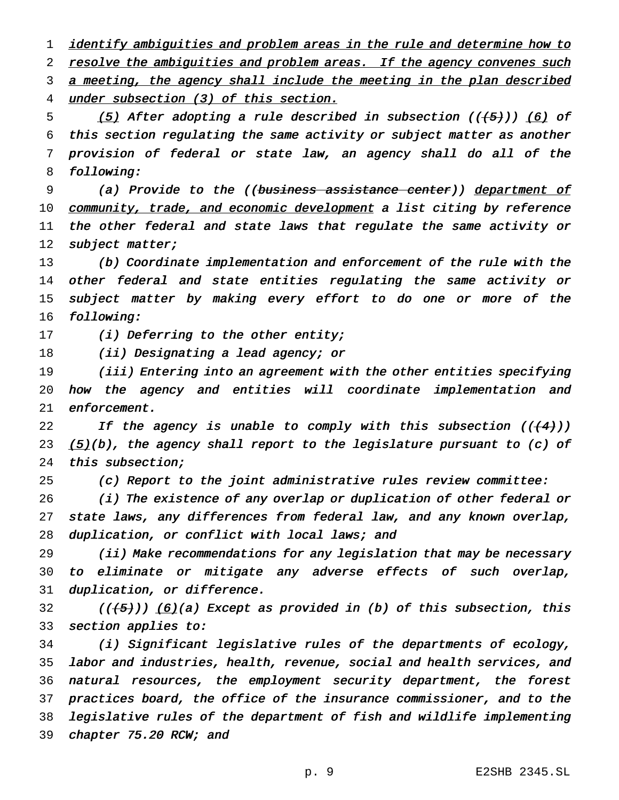1 identify ambiguities and problem areas in the rule and determine how to 2 resolve the ambiguities and problem areas. If the agency convenes such 3 a meeting, the agency shall include the meeting in the plan described

under subsection (3) of this section.

5 (5) After adopting a rule described in subsection  $((+5))$  (6) of this section regulating the same activity or subject matter as another provision of federal or state law, an agency shall do all of the following:

9 (a) Provide to the ((business assistance center)) department of 10 community, trade, and economic development a list citing by reference the other federal and state laws that regulate the same activity or 12 subject matter;

 (b) Coordinate implementation and enforcement of the rule with the 14 other federal and state entities regulating the same activity or subject matter by making every effort to do one or more of the following:

17 (i) Deferring to the other entity;

18 (ii) Designating a lead agency; or

 (iii) Entering into an agreement with the other entities specifying how the agency and entities will coordinate implementation and enforcement.

22 If the agency is unable to comply with this subsection  $((+4))$ 23 ()(b), the agency shall report to the legislature pursuant to (c) of this subsection;

(c) Report to the joint administrative rules review committee:

 (i) The existence of any overlap or duplication of other federal or state laws, any differences from federal law, and any known overlap, 28 duplication, or conflict with local laws; and

 (ii) Make recommendations for any legislation that may be necessary to eliminate or mitigate any adverse effects of such overlap, duplication, or difference.

32 (( $(+5)$ )) (6)(a) Except as provided in (b) of this subsection, this section applies to:

 (i) Significant legislative rules of the departments of ecology, labor and industries, health, revenue, social and health services, and natural resources, the employment security department, the forest practices board, the office of the insurance commissioner, and to the legislative rules of the department of fish and wildlife implementing 39 chapter 75.20 RCW; and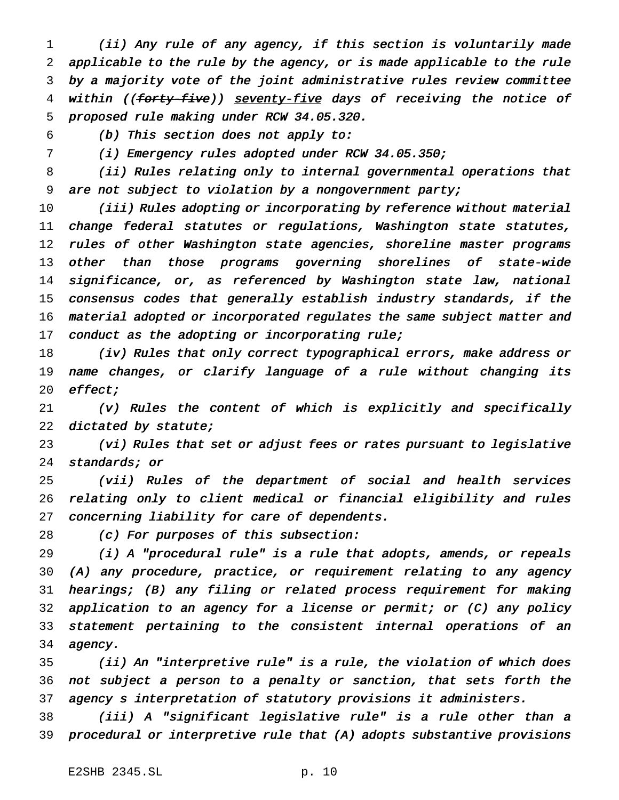(ii) Any rule of any agency, if this section is voluntarily made applicable to the rule by the agency, or is made applicable to the rule by <sup>a</sup> majority vote of the joint administrative rules review committee 4 within ((forty-five)) seventy-five days of receiving the notice of proposed rule making under RCW 34.05.320.

(b) This section does not apply to:

(i) Emergency rules adopted under RCW 34.05.350;

 (ii) Rules relating only to internal governmental operations that are not subject to violation by <sup>a</sup> nongovernment party;

 (iii) Rules adopting or incorporating by reference without material change federal statutes or regulations, Washington state statutes, rules of other Washington state agencies, shoreline master programs 13 other than those programs governing shorelines of state-wide significance, or, as referenced by Washington state law, national consensus codes that generally establish industry standards, if the material adopted or incorporated regulates the same subject matter and 17 conduct as the adopting or incorporating rule;

 (iv) Rules that only correct typographical errors, make address or name changes, or clarify language of <sup>a</sup> rule without changing its 20 effect;

 (v) Rules the content of which is explicitly and specifically 22 dictated by statute;

 (vi) Rules that set or adjust fees or rates pursuant to legislative standards; or

 (vii) Rules of the department of social and health services relating only to client medical or financial eligibility and rules concerning liability for care of dependents.

(c) For purposes of this subsection:

 (i) <sup>A</sup> "procedural rule" is <sup>a</sup> rule that adopts, amends, or repeals (A) any procedure, practice, or requirement relating to any agency hearings; (B) any filing or related process requirement for making application to an agency for <sup>a</sup> license or permit; or (C) any policy statement pertaining to the consistent internal operations of an 34 agency.

 (ii) An "interpretive rule" is <sup>a</sup> rule, the violation of which does not subject <sup>a</sup> person to <sup>a</sup> penalty or sanction, that sets forth the agency <sup>s</sup> interpretation of statutory provisions it administers.

 (iii) <sup>A</sup> "significant legislative rule" is <sup>a</sup> rule other than <sup>a</sup> procedural or interpretive rule that (A) adopts substantive provisions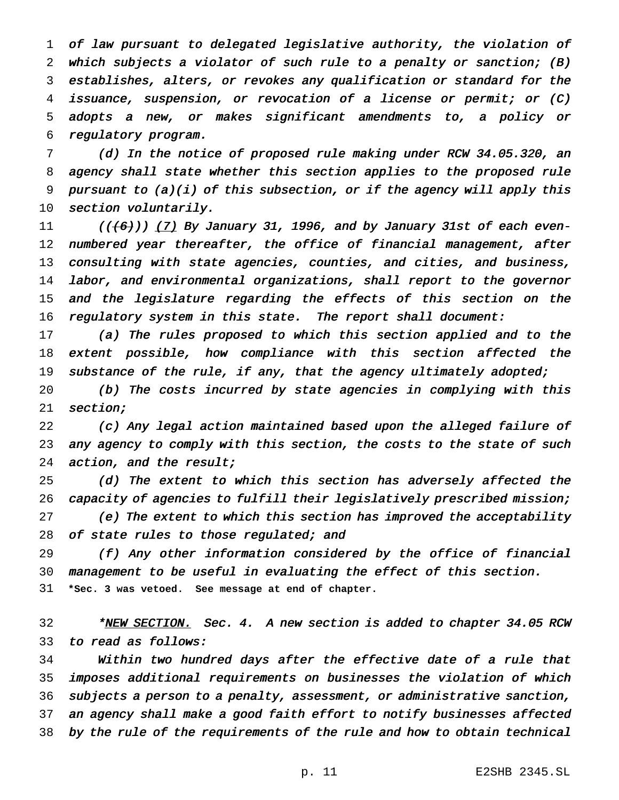of law pursuant to delegated legislative authority, the violation of which subjects <sup>a</sup> violator of such rule to <sup>a</sup> penalty or sanction; (B) establishes, alters, or revokes any qualification or standard for the issuance, suspension, or revocation of <sup>a</sup> license or permit; or (C) adopts <sup>a</sup> new, or makes significant amendments to, <sup>a</sup> policy or regulatory program.

 (d) In the notice of proposed rule making under RCW 34.05.320, an agency shall state whether this section applies to the proposed rule pursuant to (a)(i) of this subsection, or if the agency will apply this 10 section voluntarily.

11 (( $(6)$ )) (7) By January 31, 1996, and by January 31st of each even- numbered year thereafter, the office of financial management, after consulting with state agencies, counties, and cities, and business, labor, and environmental organizations, shall report to the governor 15 and the legislature regarding the effects of this section on the regulatory system in this state. The report shall document:

 (a) The rules proposed to which this section applied and to the extent possible, how compliance with this section affected the 19 substance of the rule, if any, that the agency ultimately adopted;

 (b) The costs incurred by state agencies in complying with this section;

 (c) Any legal action maintained based upon the alleged failure of 23 any agency to comply with this section, the costs to the state of such action, and the result;

 (d) The extent to which this section has adversely affected the 26 capacity of agencies to fulfill their legislatively prescribed mission; (e) The extent to which this section has improved the acceptability 28 of state rules to those regulated; and

 (f) Any other information considered by the office of financial management to be useful in evaluating the effect of this section. **\*Sec. 3 was vetoed. See message at end of chapter.**

32 \*NEW SECTION. Sec. 4. A new section is added to chapter 34.05 RCW to read as follows:

 Within two hundred days after the effective date of <sup>a</sup> rule that imposes additional requirements on businesses the violation of which subjects <sup>a</sup> person to <sup>a</sup> penalty, assessment, or administrative sanction, an agency shall make <sup>a</sup> good faith effort to notify businesses affected by the rule of the requirements of the rule and how to obtain technical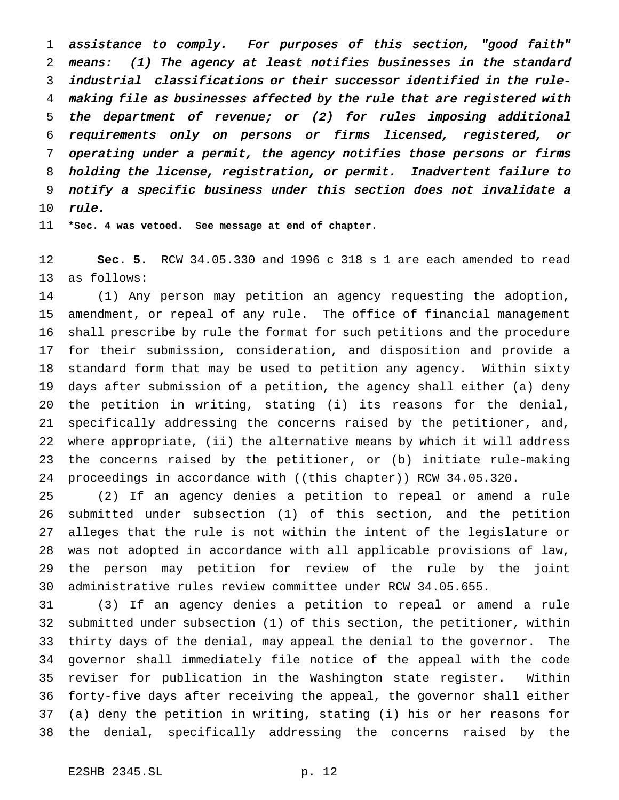assistance to comply. For purposes of this section, "good faith" means: (1) The agency at least notifies businesses in the standard industrial classifications or their successor identified in the rule- making file as businesses affected by the rule that are registered with the department of revenue; or (2) for rules imposing additional requirements only on persons or firms licensed, registered, or operating under <sup>a</sup> permit, the agency notifies those persons or firms holding the license, registration, or permit. Inadvertent failure to notify <sup>a</sup> specific business under this section does not invalidate <sup>a</sup> rule.

**\*Sec. 4 was vetoed. See message at end of chapter.**

 **Sec. 5.** RCW 34.05.330 and 1996 c 318 s 1 are each amended to read as follows:

 (1) Any person may petition an agency requesting the adoption, amendment, or repeal of any rule. The office of financial management shall prescribe by rule the format for such petitions and the procedure for their submission, consideration, and disposition and provide a standard form that may be used to petition any agency. Within sixty days after submission of a petition, the agency shall either (a) deny the petition in writing, stating (i) its reasons for the denial, specifically addressing the concerns raised by the petitioner, and, where appropriate, (ii) the alternative means by which it will address the concerns raised by the petitioner, or (b) initiate rule-making 24 proceedings in accordance with ((this chapter)) RCW 34.05.320.

 (2) If an agency denies a petition to repeal or amend a rule submitted under subsection (1) of this section, and the petition alleges that the rule is not within the intent of the legislature or was not adopted in accordance with all applicable provisions of law, the person may petition for review of the rule by the joint administrative rules review committee under RCW 34.05.655.

 (3) If an agency denies a petition to repeal or amend a rule submitted under subsection (1) of this section, the petitioner, within thirty days of the denial, may appeal the denial to the governor. The governor shall immediately file notice of the appeal with the code reviser for publication in the Washington state register. Within forty-five days after receiving the appeal, the governor shall either (a) deny the petition in writing, stating (i) his or her reasons for the denial, specifically addressing the concerns raised by the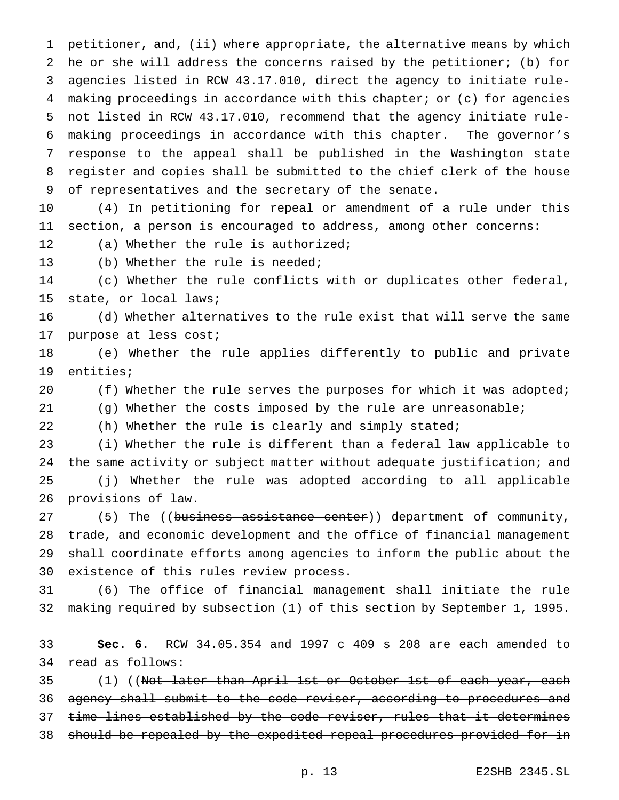petitioner, and, (ii) where appropriate, the alternative means by which he or she will address the concerns raised by the petitioner; (b) for agencies listed in RCW 43.17.010, direct the agency to initiate rule- making proceedings in accordance with this chapter; or (c) for agencies not listed in RCW 43.17.010, recommend that the agency initiate rule- making proceedings in accordance with this chapter. The governor's response to the appeal shall be published in the Washington state register and copies shall be submitted to the chief clerk of the house of representatives and the secretary of the senate.

 (4) In petitioning for repeal or amendment of a rule under this section, a person is encouraged to address, among other concerns:

(a) Whether the rule is authorized;

(b) Whether the rule is needed;

 (c) Whether the rule conflicts with or duplicates other federal, state, or local laws;

 (d) Whether alternatives to the rule exist that will serve the same purpose at less cost;

 (e) Whether the rule applies differently to public and private entities;

20 (f) Whether the rule serves the purposes for which it was adopted; (g) Whether the costs imposed by the rule are unreasonable;

(h) Whether the rule is clearly and simply stated;

 (i) Whether the rule is different than a federal law applicable to the same activity or subject matter without adequate justification; and (j) Whether the rule was adopted according to all applicable provisions of law.

27 (5) The ((business assistance center)) department of community, 28 trade, and economic development and the office of financial management shall coordinate efforts among agencies to inform the public about the existence of this rules review process.

 (6) The office of financial management shall initiate the rule making required by subsection (1) of this section by September 1, 1995.

 **Sec. 6.** RCW 34.05.354 and 1997 c 409 s 208 are each amended to read as follows:

35 (1) ((N<del>ot later than April 1st or October 1st of each year, each</del> agency shall submit to the code reviser, according to procedures and 37 time lines established by the code reviser, rules that it determines 38 should be repealed by the expedited repeal procedures provided for in

p. 13 E2SHB 2345.SL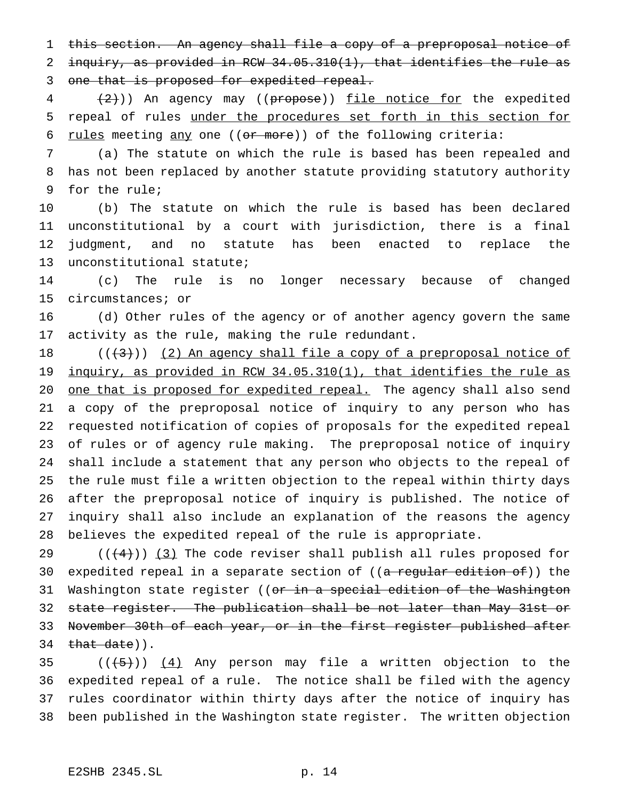this section. An agency shall file a copy of a preproposal notice of inquiry, as provided in RCW 34.05.310(1), that identifies the rule as 3 one that is proposed for expedited repeal.

 $(2+))$  An agency may ((propose)) file notice for the expedited repeal of rules under the procedures set forth in this section for 6 rules meeting any one (( $or$  more)) of the following criteria:

 (a) The statute on which the rule is based has been repealed and has not been replaced by another statute providing statutory authority for the rule;

 (b) The statute on which the rule is based has been declared unconstitutional by a court with jurisdiction, there is a final judgment, and no statute has been enacted to replace the unconstitutional statute;

 (c) The rule is no longer necessary because of changed circumstances; or

 (d) Other rules of the agency or of another agency govern the same activity as the rule, making the rule redundant.

 $((+3))$   $(2)$  An agency shall file a copy of a preproposal notice of inquiry, as provided in RCW 34.05.310(1), that identifies the rule as 20 one that is proposed for expedited repeal. The agency shall also send a copy of the preproposal notice of inquiry to any person who has requested notification of copies of proposals for the expedited repeal of rules or of agency rule making. The preproposal notice of inquiry shall include a statement that any person who objects to the repeal of the rule must file a written objection to the repeal within thirty days after the preproposal notice of inquiry is published. The notice of inquiry shall also include an explanation of the reasons the agency believes the expedited repeal of the rule is appropriate.

 $((+4))$   $(3)$  The code reviser shall publish all rules proposed for 30 expedited repeal in a separate section of ((a regular edition of)) the 31 Washington state register ((or in a special edition of the Washington state register. The publication shall be not later than May 31st or November 30th of each year, or in the first register published after that date)).

 $((+5))$   $(4)$  Any person may file a written objection to the expedited repeal of a rule. The notice shall be filed with the agency rules coordinator within thirty days after the notice of inquiry has been published in the Washington state register. The written objection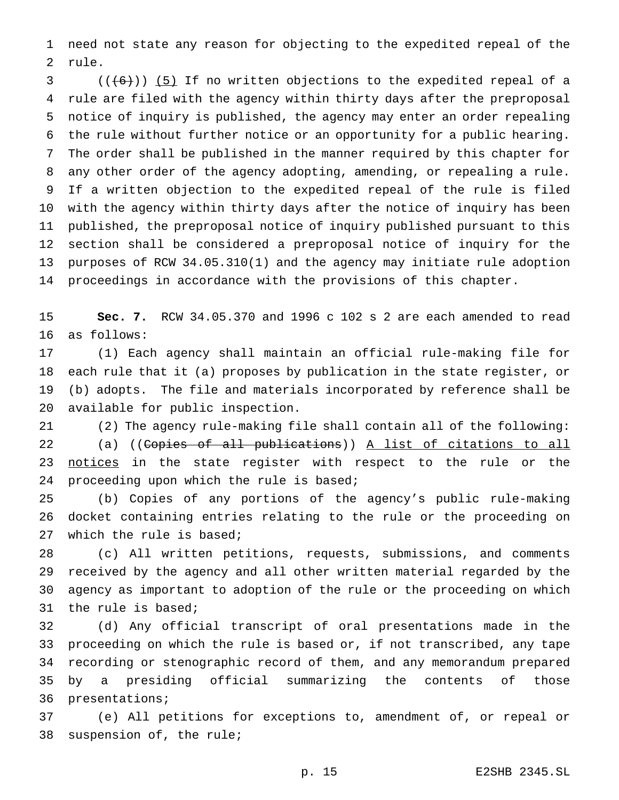need not state any reason for objecting to the expedited repeal of the rule.

 $(1 + 6)$ ) (5) If no written objections to the expedited repeal of a rule are filed with the agency within thirty days after the preproposal notice of inquiry is published, the agency may enter an order repealing the rule without further notice or an opportunity for a public hearing. The order shall be published in the manner required by this chapter for any other order of the agency adopting, amending, or repealing a rule. If a written objection to the expedited repeal of the rule is filed with the agency within thirty days after the notice of inquiry has been published, the preproposal notice of inquiry published pursuant to this section shall be considered a preproposal notice of inquiry for the purposes of RCW 34.05.310(1) and the agency may initiate rule adoption proceedings in accordance with the provisions of this chapter.

 **Sec. 7.** RCW 34.05.370 and 1996 c 102 s 2 are each amended to read as follows:

 (1) Each agency shall maintain an official rule-making file for each rule that it (a) proposes by publication in the state register, or (b) adopts. The file and materials incorporated by reference shall be available for public inspection.

 (2) The agency rule-making file shall contain all of the following: 22 (a) ((Copies of all publications)) A list of citations to all 23 notices in the state register with respect to the rule or the 24 proceeding upon which the rule is based;

 (b) Copies of any portions of the agency's public rule-making docket containing entries relating to the rule or the proceeding on which the rule is based;

 (c) All written petitions, requests, submissions, and comments received by the agency and all other written material regarded by the agency as important to adoption of the rule or the proceeding on which the rule is based;

 (d) Any official transcript of oral presentations made in the proceeding on which the rule is based or, if not transcribed, any tape recording or stenographic record of them, and any memorandum prepared by a presiding official summarizing the contents of those presentations;

 (e) All petitions for exceptions to, amendment of, or repeal or suspension of, the rule;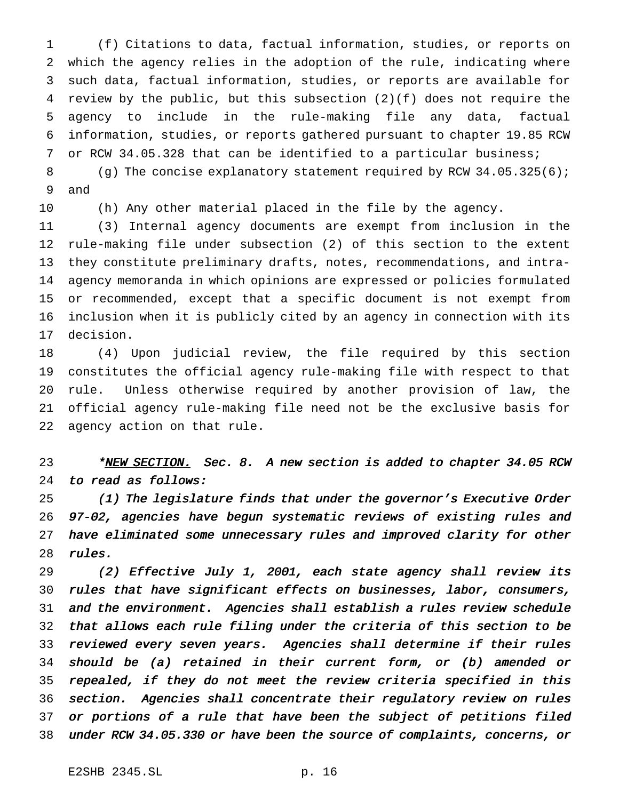(f) Citations to data, factual information, studies, or reports on which the agency relies in the adoption of the rule, indicating where such data, factual information, studies, or reports are available for review by the public, but this subsection (2)(f) does not require the agency to include in the rule-making file any data, factual information, studies, or reports gathered pursuant to chapter 19.85 RCW or RCW 34.05.328 that can be identified to a particular business;

8 (g) The concise explanatory statement required by RCW 34.05.325(6); and

(h) Any other material placed in the file by the agency.

 (3) Internal agency documents are exempt from inclusion in the rule-making file under subsection (2) of this section to the extent they constitute preliminary drafts, notes, recommendations, and intra- agency memoranda in which opinions are expressed or policies formulated or recommended, except that a specific document is not exempt from inclusion when it is publicly cited by an agency in connection with its decision.

 (4) Upon judicial review, the file required by this section constitutes the official agency rule-making file with respect to that rule. Unless otherwise required by another provision of law, the official agency rule-making file need not be the exclusive basis for agency action on that rule.

23 \*NEW SECTION. Sec. 8. A new section is added to chapter 34.05 RCW to read as follows:

 (1) The legislature finds that under the governor's Executive Order 97-02, agencies have begun systematic reviews of existing rules and have eliminated some unnecessary rules and improved clarity for other rules.

 (2) Effective July 1, 2001, each state agency shall review its rules that have significant effects on businesses, labor, consumers, and the environment. Agencies shall establish <sup>a</sup> rules review schedule that allows each rule filing under the criteria of this section to be reviewed every seven years. Agencies shall determine if their rules should be (a) retained in their current form, or (b) amended or repealed, if they do not meet the review criteria specified in this section. Agencies shall concentrate their regulatory review on rules or portions of <sup>a</sup> rule that have been the subject of petitions filed under RCW 34.05.330 or have been the source of complaints, concerns, or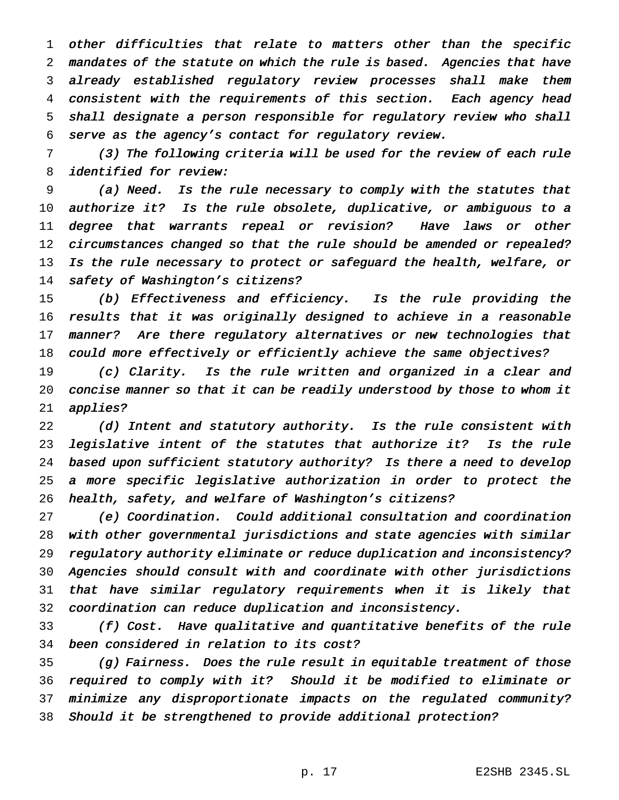other difficulties that relate to matters other than the specific mandates of the statute on which the rule is based. Agencies that have already established regulatory review processes shall make them consistent with the requirements of this section. Each agency head shall designate <sup>a</sup> person responsible for regulatory review who shall serve as the agency's contact for regulatory review.

 (3) The following criteria will be used for the review of each rule identified for review:

 (a) Need. Is the rule necessary to comply with the statutes that authorize it? Is the rule obsolete, duplicative, or ambiguous to <sup>a</sup> degree that warrants repeal or revision? Have laws or other circumstances changed so that the rule should be amended or repealed? 13 Is the rule necessary to protect or safeguard the health, welfare, or safety of Washington's citizens?

 (b) Effectiveness and efficiency. Is the rule providing the results that it was originally designed to achieve in <sup>a</sup> reasonable manner? Are there regulatory alternatives or new technologies that could more effectively or efficiently achieve the same objectives?

 (c) Clarity. Is the rule written and organized in <sup>a</sup> clear and concise manner so that it can be readily understood by those to whom it applies?

 (d) Intent and statutory authority. Is the rule consistent with legislative intent of the statutes that authorize it? Is the rule based upon sufficient statutory authority? Is there <sup>a</sup> need to develop <sup>a</sup> more specific legislative authorization in order to protect the health, safety, and welfare of Washington's citizens?

 (e) Coordination. Could additional consultation and coordination with other governmental jurisdictions and state agencies with similar regulatory authority eliminate or reduce duplication and inconsistency? Agencies should consult with and coordinate with other jurisdictions that have similar regulatory requirements when it is likely that coordination can reduce duplication and inconsistency.

 (f) Cost. Have qualitative and quantitative benefits of the rule been considered in relation to its cost?

 (g) Fairness. Does the rule result in equitable treatment of those required to comply with it? Should it be modified to eliminate or minimize any disproportionate impacts on the regulated community? Should it be strengthened to provide additional protection?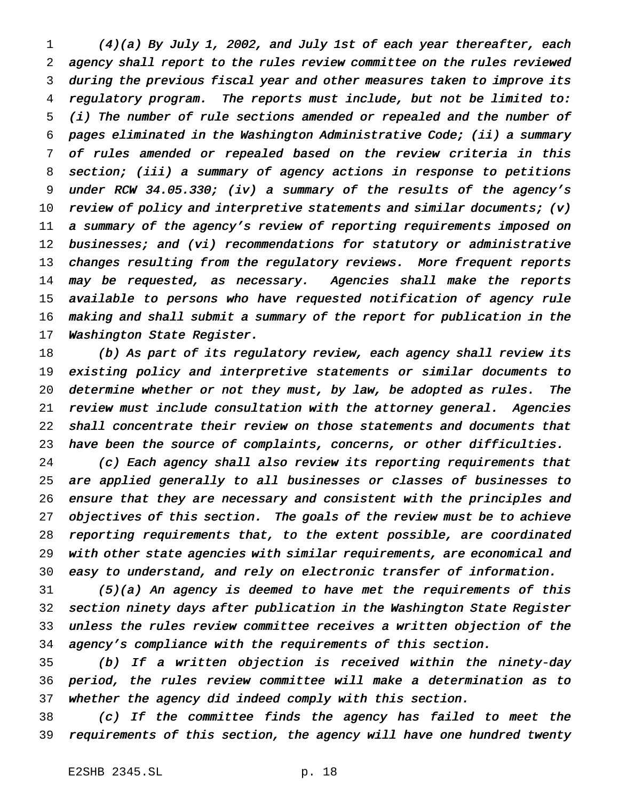(4)(a) By July 1, 2002, and July 1st of each year thereafter, each agency shall report to the rules review committee on the rules reviewed during the previous fiscal year and other measures taken to improve its regulatory program. The reports must include, but not be limited to: (i) The number of rule sections amended or repealed and the number of pages eliminated in the Washington Administrative Code; (ii) <sup>a</sup> summary of rules amended or repealed based on the review criteria in this section; (iii) <sup>a</sup> summary of agency actions in response to petitions under RCW 34.05.330; (iv) <sup>a</sup> summary of the results of the agency's 10 review of policy and interpretive statements and similar documents; (v) <sup>a</sup> summary of the agency's review of reporting requirements imposed on 12 businesses; and (vi) recommendations for statutory or administrative 13 changes resulting from the regulatory reviews. More frequent reports may be requested, as necessary. Agencies shall make the reports available to persons who have requested notification of agency rule making and shall submit <sup>a</sup> summary of the report for publication in the 17 Washington State Register.

18 (b) As part of its regulatory review, each agency shall review its existing policy and interpretive statements or similar documents to determine whether or not they must, by law, be adopted as rules. The review must include consultation with the attorney general. Agencies shall concentrate their review on those statements and documents that have been the source of complaints, concerns, or other difficulties.

 (c) Each agency shall also review its reporting requirements that are applied generally to all businesses or classes of businesses to ensure that they are necessary and consistent with the principles and objectives of this section. The goals of the review must be to achieve reporting requirements that, to the extent possible, are coordinated with other state agencies with similar requirements, are economical and easy to understand, and rely on electronic transfer of information.

 (5)(a) An agency is deemed to have met the requirements of this section ninety days after publication in the Washington State Register unless the rules review committee receives <sup>a</sup> written objection of the agency's compliance with the requirements of this section.

 (b) If <sup>a</sup> written objection is received within the ninety-day period, the rules review committee will make <sup>a</sup> determination as to whether the agency did indeed comply with this section.

 (c) If the committee finds the agency has failed to meet the requirements of this section, the agency will have one hundred twenty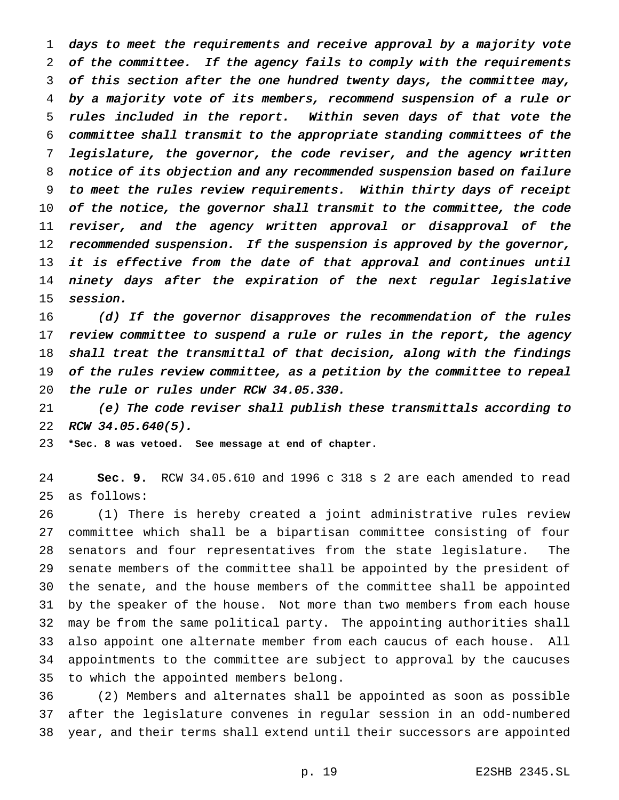days to meet the requirements and receive approval by <sup>a</sup> majority vote of the committee. If the agency fails to comply with the requirements of this section after the one hundred twenty days, the committee may, by <sup>a</sup> majority vote of its members, recommend suspension of <sup>a</sup> rule or rules included in the report. Within seven days of that vote the committee shall transmit to the appropriate standing committees of the legislature, the governor, the code reviser, and the agency written notice of its objection and any recommended suspension based on failure to meet the rules review requirements. Within thirty days of receipt of the notice, the governor shall transmit to the committee, the code reviser, and the agency written approval or disapproval of the 12 recommended suspension. If the suspension is approved by the governor, 13 it is effective from the date of that approval and continues until ninety days after the expiration of the next regular legislative session.

16 (d) If the governor disapproves the recommendation of the rules review committee to suspend <sup>a</sup> rule or rules in the report, the agency shall treat the transmittal of that decision, along with the findings 19 of the rules review committee, as a petition by the committee to repeal the rule or rules under RCW 34.05.330.

 (e) The code reviser shall publish these transmittals according to RCW 34.05.640(5).

**\*Sec. 8 was vetoed. See message at end of chapter.**

 **Sec. 9.** RCW 34.05.610 and 1996 c 318 s 2 are each amended to read as follows:

 (1) There is hereby created a joint administrative rules review committee which shall be a bipartisan committee consisting of four senators and four representatives from the state legislature. The senate members of the committee shall be appointed by the president of the senate, and the house members of the committee shall be appointed by the speaker of the house. Not more than two members from each house may be from the same political party. The appointing authorities shall also appoint one alternate member from each caucus of each house. All appointments to the committee are subject to approval by the caucuses to which the appointed members belong.

 (2) Members and alternates shall be appointed as soon as possible after the legislature convenes in regular session in an odd-numbered year, and their terms shall extend until their successors are appointed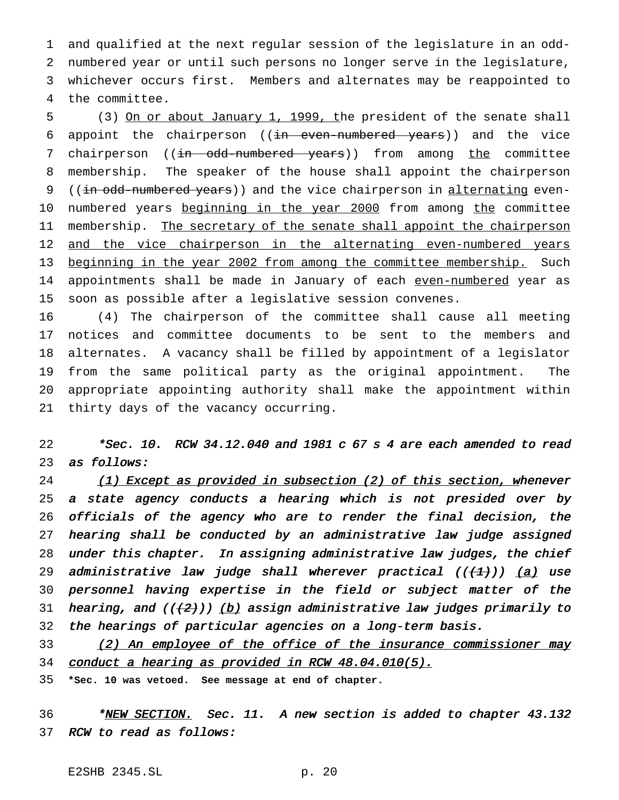and qualified at the next regular session of the legislature in an odd- numbered year or until such persons no longer serve in the legislature, whichever occurs first. Members and alternates may be reappointed to the committee.

 (3) On or about January 1, 1999, the president of the senate shall 6 appoint the chairperson  $((\text{in}-even-numbered - years))$  and the vice 7 chairperson ((in odd-numbered years)) from among the committee membership. The speaker of the house shall appoint the chairperson 9 ((in odd-numbered years)) and the vice chairperson in alternating even-10 numbered years beginning in the year 2000 from among the committee 11 membership. The secretary of the senate shall appoint the chairperson 12 and the vice chairperson in the alternating even-numbered years 13 beginning in the year 2002 from among the committee membership. Such 14 appointments shall be made in January of each even-numbered year as soon as possible after a legislative session convenes.

 (4) The chairperson of the committee shall cause all meeting notices and committee documents to be sent to the members and alternates. A vacancy shall be filled by appointment of a legislator from the same political party as the original appointment. The appropriate appointing authority shall make the appointment within thirty days of the vacancy occurring.

 \*Sec. 10. RCW 34.12.040 and <sup>1981</sup> <sup>c</sup> <sup>67</sup> <sup>s</sup> <sup>4</sup> are each amended to read as follows:

24 (1) Except as provided in subsection (2) of this section, whenever <sup>a</sup> state agency conducts <sup>a</sup> hearing which is not presided over by officials of the agency who are to render the final decision, the hearing shall be conducted by an administrative law judge assigned under this chapter. In assigning administrative law judges, the chief 29 administrative law judge shall wherever practical  $((+1))$  (a) use personnel having expertise in the field or subject matter of the 31 hearing, and  $((+2))$  (b) assign administrative law judges primarily to the hearings of particular agencies on <sup>a</sup> long-term basis.

33 (2) An employee of the office of the insurance commissioner may 34 conduct a hearing as provided in RCW  $48.04.010(5)$ .

**\*Sec. 10 was vetoed. See message at end of chapter.**

36 \*NEW SECTION. Sec. 11. A new section is added to chapter 43.132 RCW to read as follows: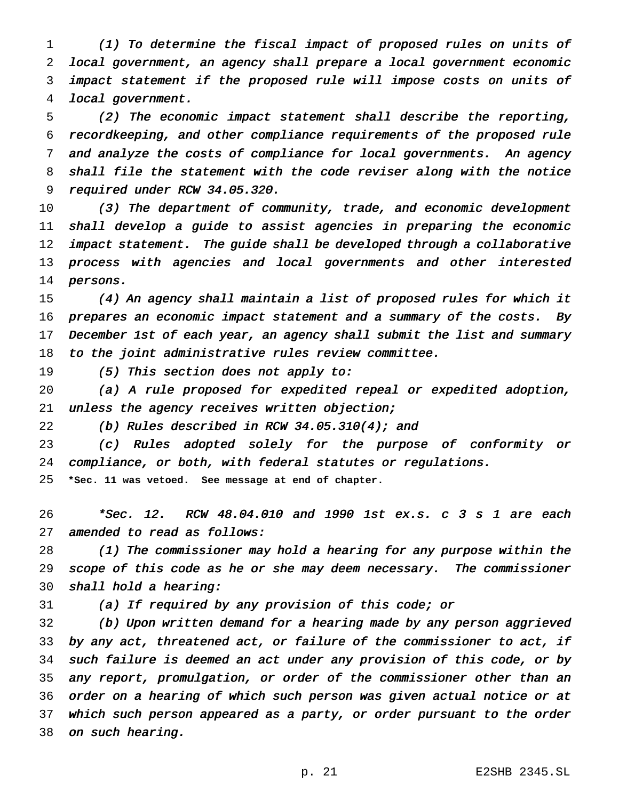(1) To determine the fiscal impact of proposed rules on units of local government, an agency shall prepare <sup>a</sup> local government economic impact statement if the proposed rule will impose costs on units of local government.

 (2) The economic impact statement shall describe the reporting, recordkeeping, and other compliance requirements of the proposed rule and analyze the costs of compliance for local governments. An agency shall file the statement with the code reviser along with the notice required under RCW 34.05.320.

 (3) The department of community, trade, and economic development shall develop <sup>a</sup> guide to assist agencies in preparing the economic impact statement. The guide shall be developed through <sup>a</sup> collaborative 13 process with agencies and local governments and other interested persons.

 (4) An agency shall maintain <sup>a</sup> list of proposed rules for which it prepares an economic impact statement and <sup>a</sup> summary of the costs. By 17 December 1st of each year, an agency shall submit the list and summary to the joint administrative rules review committee.

19 (5) This section does not apply to:

 (a) <sup>A</sup> rule proposed for expedited repeal or expedited adoption, unless the agency receives written objection;

(b) Rules described in RCW 34.05.310(4); and

 (c) Rules adopted solely for the purpose of conformity or compliance, or both, with federal statutes or regulations.

**\*Sec. 11 was vetoed. See message at end of chapter.**

 \*Sec. 12. RCW 48.04.010 and <sup>1990</sup> 1st ex.s. <sup>c</sup> <sup>3</sup> <sup>s</sup> <sup>1</sup> are each 27 amended to read as follows:

 (1) The commissioner may hold <sup>a</sup> hearing for any purpose within the scope of this code as he or she may deem necessary. The commissioner shall hold <sup>a</sup> hearing:

(a) If required by any provision of this code; or

 (b) Upon written demand for <sup>a</sup> hearing made by any person aggrieved by any act, threatened act, or failure of the commissioner to act, if such failure is deemed an act under any provision of this code, or by any report, promulgation, or order of the commissioner other than an order on <sup>a</sup> hearing of which such person was given actual notice or at which such person appeared as <sup>a</sup> party, or order pursuant to the order on such hearing.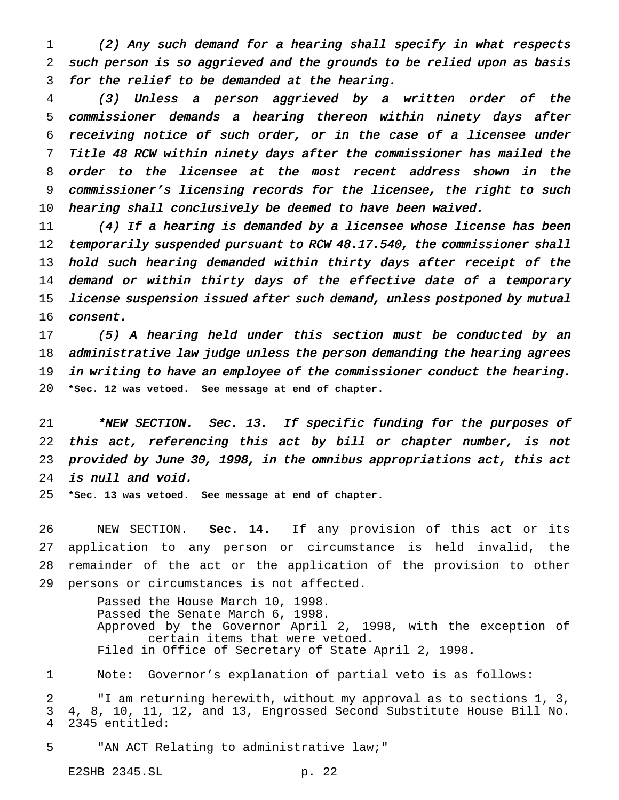(2) Any such demand for <sup>a</sup> hearing shall specify in what respects such person is so aggrieved and the grounds to be relied upon as basis for the relief to be demanded at the hearing.

 (3) Unless <sup>a</sup> person aggrieved by <sup>a</sup> written order of the commissioner demands <sup>a</sup> hearing thereon within ninety days after receiving notice of such order, or in the case of <sup>a</sup> licensee under Title <sup>48</sup> RCW within ninety days after the commissioner has mailed the order to the licensee at the most recent address shown in the commissioner's licensing records for the licensee, the right to such hearing shall conclusively be deemed to have been waived.

11 (4) If a hearing is demanded by a licensee whose license has been 12 temporarily suspended pursuant to RCW 48.17.540, the commissioner shall 13 hold such hearing demanded within thirty days after receipt of the 14 demand or within thirty days of the effective date of a temporary license suspension issued after such demand, unless postponed by mutual consent.

17 (5) A hearing held under this section must be conducted by an 18 administrative law judge unless the person demanding the hearing agrees 19 in writing to have an employee of the commissioner conduct the hearing. **\*Sec. 12 was vetoed. See message at end of chapter.**

21 \*NEW SECTION. Sec. 13. If specific funding for the purposes of 22 this act, referencing this act by bill or chapter number, is not provided by June 30, 1998, in the omnibus appropriations act, this act is null and void.

**\*Sec. 13 was vetoed. See message at end of chapter.**

 NEW SECTION. **Sec. 14.** If any provision of this act or its application to any person or circumstance is held invalid, the remainder of the act or the application of the provision to other persons or circumstances is not affected.

> Passed the House March 10, 1998. Passed the Senate March 6, 1998. Approved by the Governor April 2, 1998, with the exception of certain items that were vetoed. Filed in Office of Secretary of State April 2, 1998.

Note: Governor's explanation of partial veto is as follows:

 "I am returning herewith, without my approval as to sections 1, 3, 4, 8, 10, 11, 12, and 13, Engrossed Second Substitute House Bill No. 2345 entitled:

"AN ACT Relating to administrative law;"

E2SHB 2345.SL p. 22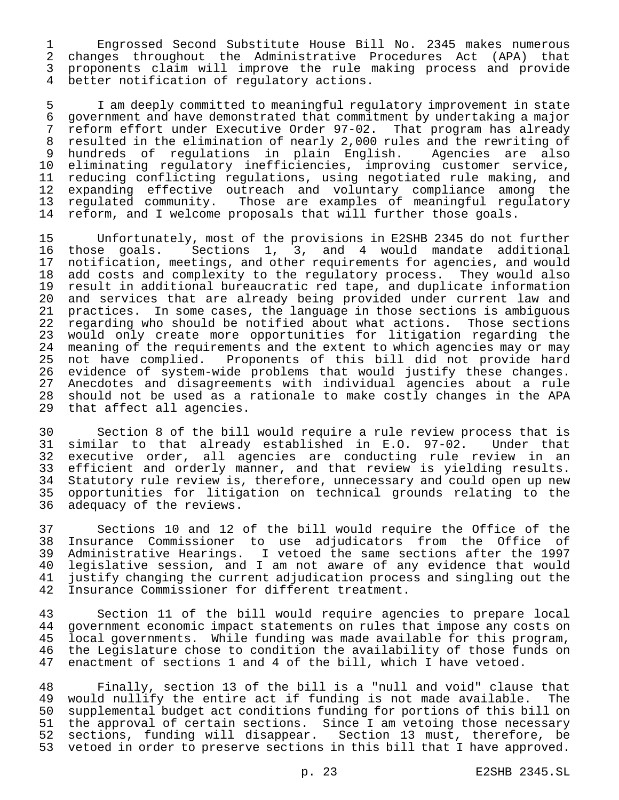Engrossed Second Substitute House Bill No. 2345 makes numerous changes throughout the Administrative Procedures Act (APA) that proponents claim will improve the rule making process and provide better notification of regulatory actions.

5 I am deeply committed to meaningful regulatory improvement in state<br>6 qovernment and have demonstrated that commitment by undertaking a major government and have demonstrated that commitment by undertaking a major reform effort under Executive Order 97-02. That program has already resulted in the elimination of nearly 2,000 rules and the rewriting of hundreds of regulations in plain English. Agencies are also eliminating regulatory inefficiencies, improving customer service, reducing conflicting regulations, using negotiated rule making, and expanding effective outreach and voluntary compliance among the regulated community. Those are examples of meaningful regulatory reform, and I welcome proposals that will further those goals.

 Unfortunately, most of the provisions in E2SHB 2345 do not further 16 those goals. Sections 1, 3, and 4 would mandate additional<br>17 notification, meetings, and other requirements for agencies, and would notification, meetings, and other requirements for agencies, and would add costs and complexity to the regulatory process. They would also 19 result in additional bureaucratic red tape, and duplicate information<br>20 and services that are already being provided under current law and 20 and services that are already being provided under current law and<br>21 practices. In some cases, the language in those sections is ambiguous practices. In some cases, the language in those sections is ambiguous regarding who should be notified about what actions. Those sections would only create more opportunities for litigation regarding the meaning of the requirements and the extent to which agencies may or may 25 not have complied. Proponents of this bill did not provide hard<br>26 evidence of system-wide problems that would justify these changes. evidence of system-wide problems that would justify these changes. Anecdotes and disagreements with individual agencies about a rule should not be used as a rationale to make costly changes in the APA that affect all agencies.

30 Section 8 of the bill would require a rule review process that is<br>31 similar to that already established in E.O. 97-02. Under that similar to that already established in E.O. 97-02. Under that 32 executive order, all agencies are conducting rule review in an 33 efficient and orderly manner, and that review is yielding results. 34 Statutory rule review is, therefore, unnecessary and could open up new<br>35 opportunities for litigation on technical grounds relating to the 35 opportunities for litigation on technical grounds relating to the adequacy of the reviews.

37 Sections 10 and 12 of the bill would require the Office of the 38 Insurance Commissioner to use adjudicators from the Office of 39 Administrative Hearings. I vetoed the same sections after the 1997<br>40 legislative session, and I am not aware of any evidence that would 40 legislative session, and I am not aware of any evidence that would<br>41 justify changing the current adjudication process and singling out the 41 justify changing the current adjudication process and singling out the<br>42 Insurance Commissioner for different treatment. Insurance Commissioner for different treatment.

43 Section 11 of the bill would require agencies to prepare local 44 government economic impact statements on rules that impose any costs on<br>45 local governments. While funding was made available for this program, local governments. While funding was made available for this program, 46 the Legislature chose to condition the availability of those funds on<br>47 enactment of sections 1 and 4 of the bill, which I have vetoed. enactment of sections 1 and 4 of the bill, which I have vetoed.

48 Finally, section 13 of the bill is a "null and void" clause that<br>49 would nullify the entire act if funding is not made available. The 49 would nullify the entire act if funding is not made available. The<br>50 supplemental budget act conditions funding for portions of this bill on supplemental budget act conditions funding for portions of this bill on 51 the approval of certain sections. Since I am vetoing those necessary 52 sections, funding will disappear. Section 13 must, therefore, be 53 vetoed in order to preserve sections in this bill that I have approved.